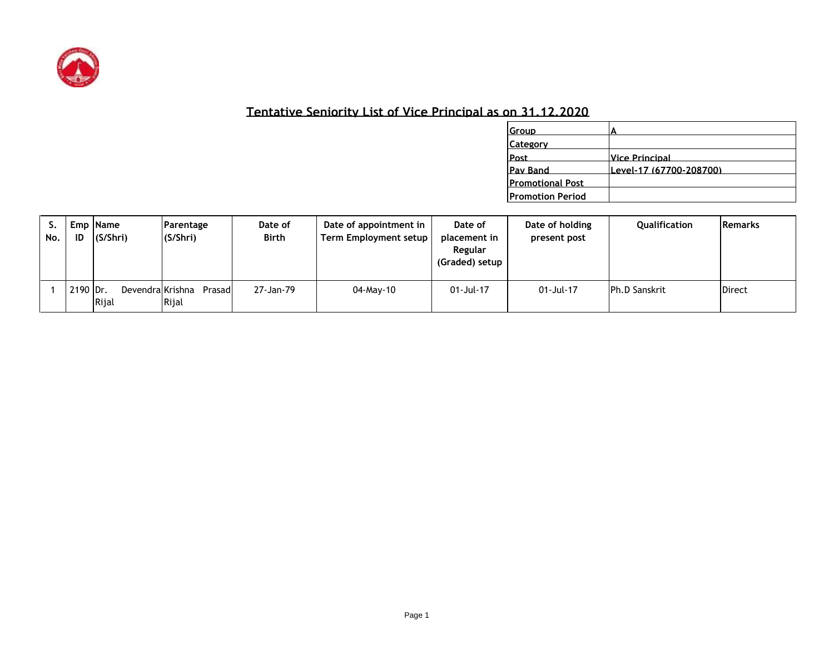

## **Tentative Seniority List of Vice Principal as on 31.12.2020**

| Group                   |                         |
|-------------------------|-------------------------|
| Category                |                         |
| <b>Post</b>             | Vice Principal          |
| Pav Band                | Level-17 (67700-208700) |
| <b>Promotional Post</b> |                         |
| <b>Promotion Period</b> |                         |

| No. | ID       | Emp Name<br>(S/Shri) | Parentage<br>(S/Shri)            | Date of<br>Birth | Date of appointment in<br>Term Employment setup | Date of<br>placement in<br>Regular<br>(Graded) setup | Date of holding<br>present post | Qualification        | <b>Remarks</b> |
|-----|----------|----------------------|----------------------------------|------------------|-------------------------------------------------|------------------------------------------------------|---------------------------------|----------------------|----------------|
|     | 2190 Dr. | Rijal                | Devendra Krishna Prasad<br>Rijal | 27-Jan-79        | 04-May-10                                       | 01-Jul-17                                            | 01-Jul-17                       | <b>Ph.D Sanskrit</b> | Direct         |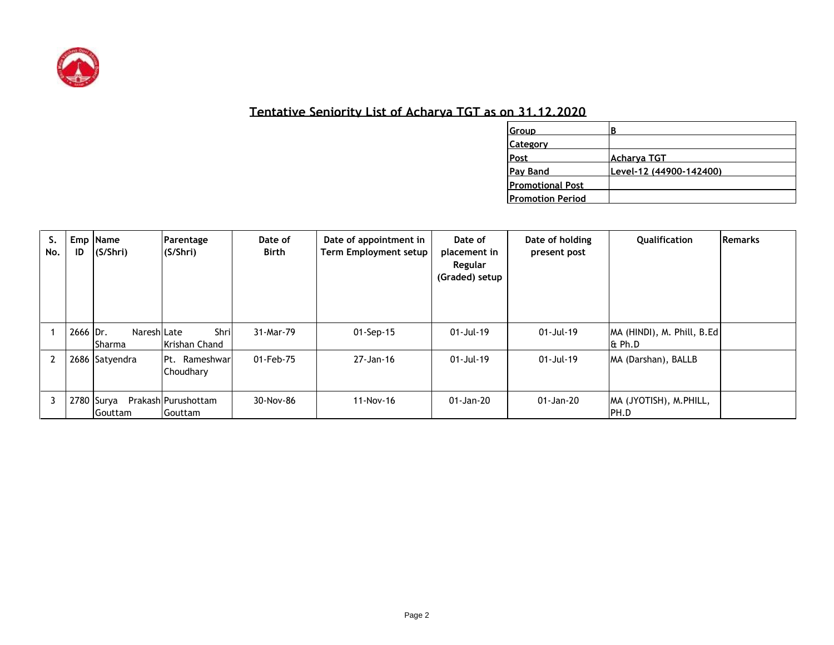

## **Tentative Seniority List of Acharya TGT as on 31.12.2020**

| Group                   | в                       |
|-------------------------|-------------------------|
| <u>Category</u>         |                         |
| Post                    | Acharya TGT             |
| Pay Band                | Level-12 (44900-142400) |
| <b>Promotional Post</b> |                         |
| <b>Promotion Period</b> |                         |
|                         |                         |

| S.<br>No.      | ID       | Emp Name<br>(S/Shri)          | Parentage<br>(S/Shri)             | Date of<br>Birth | Date of appointment in<br>Term Employment setup | Date of<br>placement in<br>Regular<br>(Graded) setup | Date of holding<br>present post | Qualification                        | <b>Remarks</b> |
|----------------|----------|-------------------------------|-----------------------------------|------------------|-------------------------------------------------|------------------------------------------------------|---------------------------------|--------------------------------------|----------------|
|                | 2666 Dr. | NareshlLate<br><b>ISharma</b> | Shril<br>Krishan Chand            | 31-Mar-79        | $01-Sep-15$                                     | $01 -$ Jul - 19                                      | $01 -$ Jul - 19                 | MA (HINDI), M. Phill, B.Ed<br>& Ph.D |                |
| $\overline{2}$ |          | 2686 Satyendra                | <b>Pt.</b> Rameshwar<br>Choudhary | 01-Feb-75        | 27-Jan-16                                       | $01 -$ Jul - 19                                      | $01 -$ Jul - 19                 | MA (Darshan), BALLB                  |                |
|                |          | 2780 Surya<br>Gouttam         | Prakash Purushottam<br>Gouttam    | 30-Nov-86        | 11-Nov-16                                       | 01-Jan-20                                            | 01-Jan-20                       | MA (JYOTISH), M.PHILL,<br>PH.D       |                |